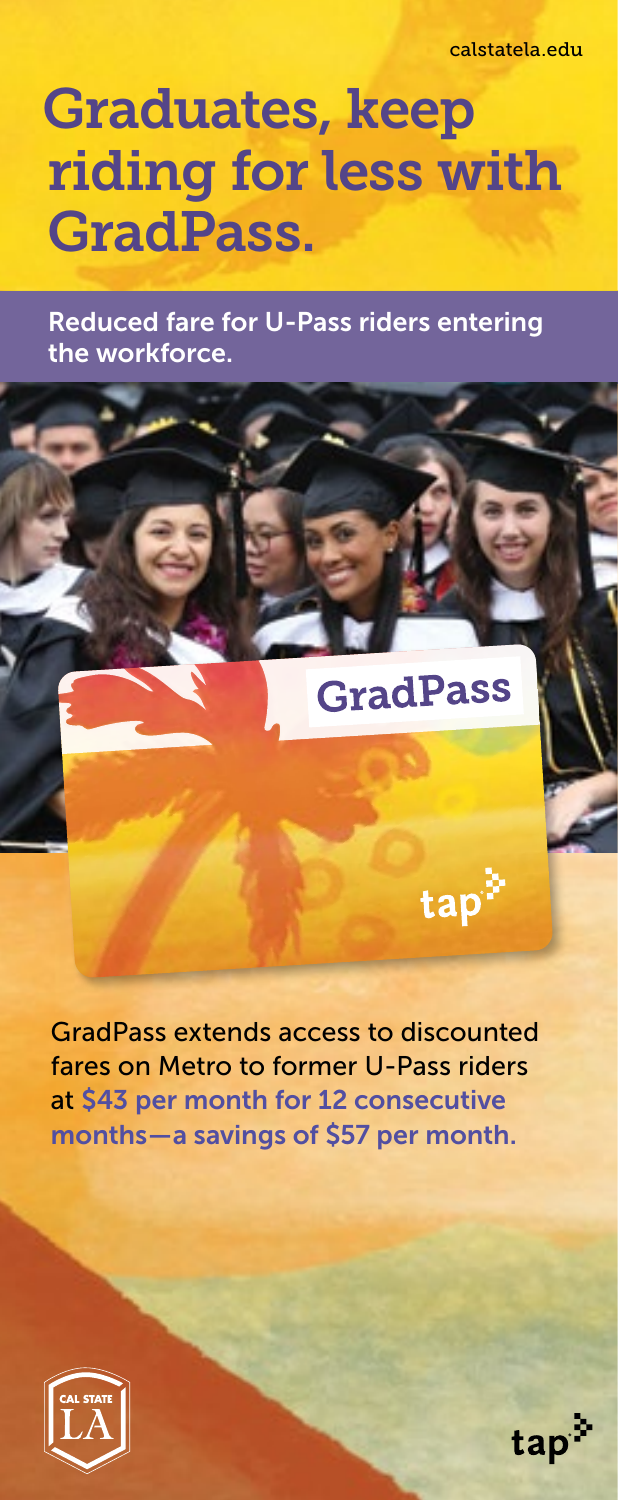calstatela.edu

# Graduates, keep riding for less with GradPass.

Reduced fare for U-Pass riders entering the workforce.

 $\mathbf{f}(\mathbf{r})=\mathbf{f}(\mathbf{r})$ 

## ldPass

tap<sup>3</sup>

GradPass extends access to discounted fares on Metro to former U-Pass riders at \$43 per month for 12 consecutive months — a savings of \$57 per month.



tap